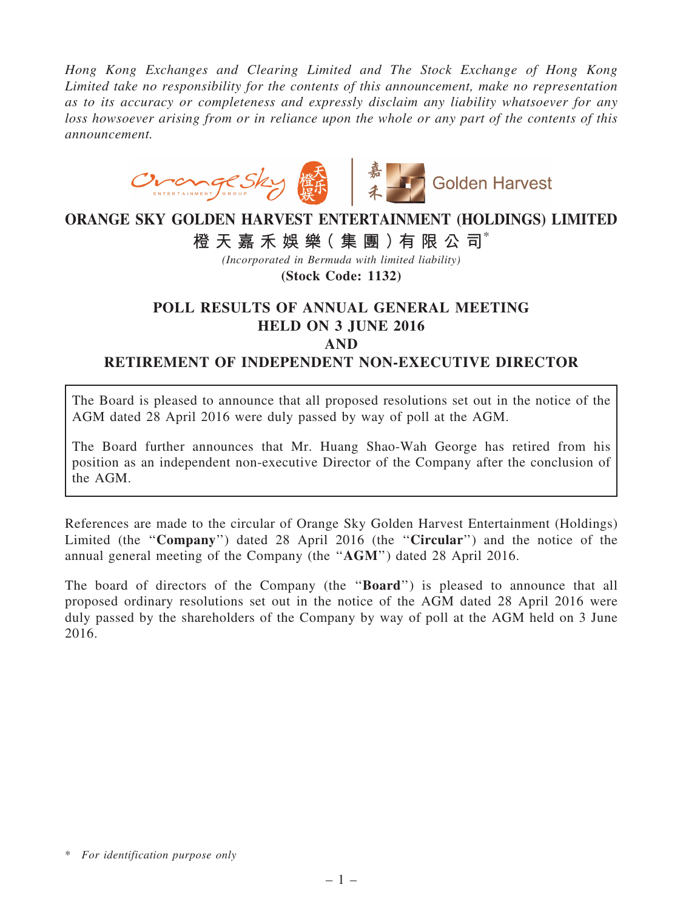*Hong Kong Exchanges and Clearing Limited and The Stock Exchange of Hong Kong Limited take no responsibility for the contents of this announcement, make no representation as to its accuracy or completeness and expressly disclaim any liability whatsoever for any loss howsoever arising from or in reliance upon the whole or any part of the contents of this announcement.*



## ORANGE SKY GOLDEN HARVEST ENTERTAINMENT (HOLDINGS) LIMITED 橙 天 嘉 禾 娛 樂 (集 團 ) 有 限 公 司 $^*$

*(Incorporated in Bermuda with limited liability)*

(Stock Code: 1132)

## POLL RESULTS OF ANNUAL GENERAL MEETING HELD ON 3 JUNE 2016 AND

RETIREMENT OF INDEPENDENT NON-EXECUTIVE DIRECTOR

The Board is pleased to announce that all proposed resolutions set out in the notice of the AGM dated 28 April 2016 were duly passed by way of poll at the AGM.

The Board further announces that Mr. Huang Shao-Wah George has retired from his position as an independent non-executive Director of the Company after the conclusion of the AGM.

References are made to the circular of Orange Sky Golden Harvest Entertainment (Holdings) Limited (the "Company") dated 28 April 2016 (the "Circular") and the notice of the annual general meeting of the Company (the ''AGM'') dated 28 April 2016.

The board of directors of the Company (the "Board") is pleased to announce that all proposed ordinary resolutions set out in the notice of the AGM dated 28 April 2016 were duly passed by the shareholders of the Company by way of poll at the AGM held on 3 June 2016.

<sup>\*</sup> *For identification purpose only*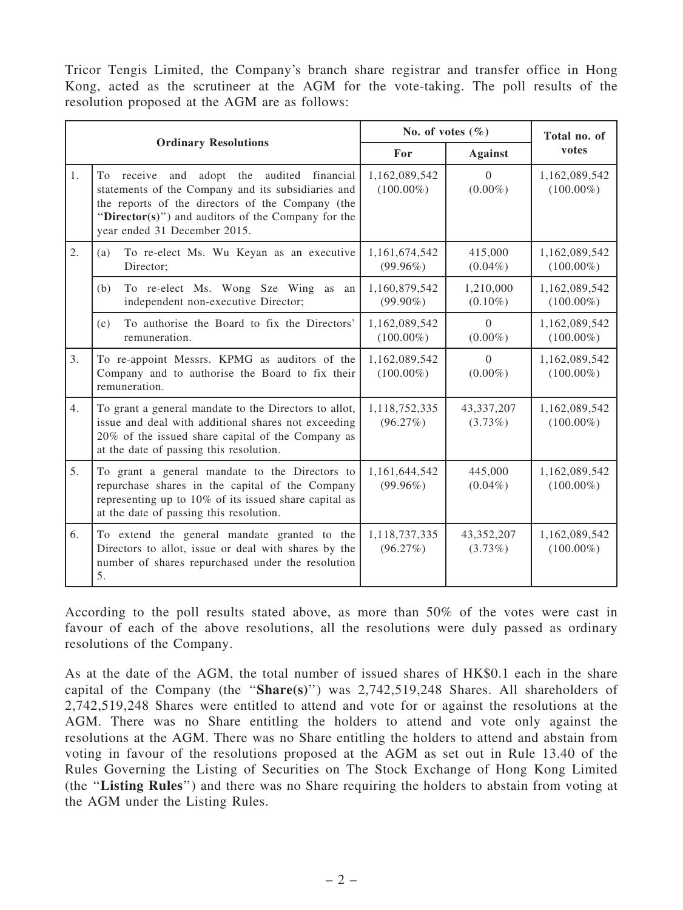Tricor Tengis Limited, the Company's branch share registrar and transfer office in Hong Kong, acted as the scrutineer at the AGM for the vote-taking. The poll results of the resolution proposed at the AGM are as follows:

| <b>Ordinary Resolutions</b> |                                                                                                                                                                                                                                                           | No. of votes $(\% )$          |                          | Total no. of                  |
|-----------------------------|-----------------------------------------------------------------------------------------------------------------------------------------------------------------------------------------------------------------------------------------------------------|-------------------------------|--------------------------|-------------------------------|
|                             |                                                                                                                                                                                                                                                           | For                           | <b>Against</b>           | votes                         |
| 1.                          | and adopt the audited financial<br>To receive<br>statements of the Company and its subsidiaries and<br>the reports of the directors of the Company (the<br>" $\text{Directory}(s)$ ") and auditors of the Company for the<br>year ended 31 December 2015. | 1,162,089,542<br>$(100.00\%)$ | $\Omega$<br>$(0.00\%)$   | 1,162,089,542<br>$(100.00\%)$ |
| 2.                          | To re-elect Ms. Wu Keyan as an executive<br>(a)<br>Director;                                                                                                                                                                                              | 1,161,674,542<br>$(99.96\%)$  | 415,000<br>$(0.04\%)$    | 1,162,089,542<br>$(100.00\%)$ |
|                             | To re-elect Ms. Wong Sze Wing as<br>(b)<br>an<br>independent non-executive Director;                                                                                                                                                                      | 1,160,879,542<br>$(99.90\%)$  | 1,210,000<br>$(0.10\%)$  | 1,162,089,542<br>$(100.00\%)$ |
|                             | To authorise the Board to fix the Directors'<br>(c)<br>remuneration.                                                                                                                                                                                      | 1,162,089,542<br>$(100.00\%)$ | $\Omega$<br>$(0.00\%)$   | 1,162,089,542<br>$(100.00\%)$ |
| 3.                          | To re-appoint Messrs. KPMG as auditors of the<br>Company and to authorise the Board to fix their<br>remuneration.                                                                                                                                         | 1,162,089,542<br>$(100.00\%)$ | $\Omega$<br>$(0.00\%)$   | 1,162,089,542<br>$(100.00\%)$ |
| 4.                          | To grant a general mandate to the Directors to allot,<br>issue and deal with additional shares not exceeding<br>20% of the issued share capital of the Company as<br>at the date of passing this resolution.                                              | 1,118,752,335<br>(96.27%)     | 43,337,207<br>$(3.73\%)$ | 1,162,089,542<br>$(100.00\%)$ |
| 5.                          | To grant a general mandate to the Directors to<br>repurchase shares in the capital of the Company<br>representing up to 10% of its issued share capital as<br>at the date of passing this resolution.                                                     | 1,161,644,542<br>$(99.96\%)$  | 445,000<br>$(0.04\%)$    | 1,162,089,542<br>$(100.00\%)$ |
| 6.                          | To extend the general mandate granted to the<br>Directors to allot, issue or deal with shares by the<br>number of shares repurchased under the resolution<br>5.                                                                                           | 1,118,737,335<br>(96.27%)     | 43,352,207<br>$(3.73\%)$ | 1,162,089,542<br>$(100.00\%)$ |

According to the poll results stated above, as more than 50% of the votes were cast in favour of each of the above resolutions, all the resolutions were duly passed as ordinary resolutions of the Company.

As at the date of the AGM, the total number of issued shares of HK\$0.1 each in the share capital of the Company (the " $Share(s)$ ") was 2,742,519,248 Shares. All shareholders of 2,742,519,248 Shares were entitled to attend and vote for or against the resolutions at the AGM. There was no Share entitling the holders to attend and vote only against the resolutions at the AGM. There was no Share entitling the holders to attend and abstain from voting in favour of the resolutions proposed at the AGM as set out in Rule 13.40 of the Rules Governing the Listing of Securities on The Stock Exchange of Hong Kong Limited (the ''Listing Rules'') and there was no Share requiring the holders to abstain from voting at the AGM under the Listing Rules.